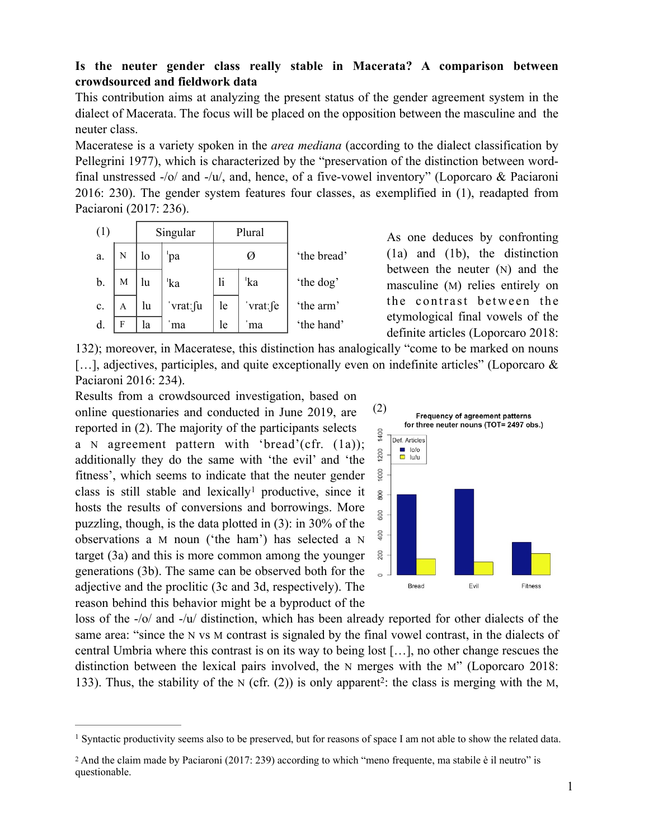## **Is the neuter gender class really stable in Macerata? A comparison between crowdsourced and fieldwork data**

This contribution aims at analyzing the present status of the gender agreement system in the dialect of Macerata. The focus will be placed on the opposition between the masculine and the neuter class.

Maceratese is a variety spoken in the *area mediana* (according to the dialect classification by Pellegrini 1977), which is characterized by the "preservation of the distinction between wordfinal unstressed -/o/ and -/u/, and, hence, of a five-vowel inventory" (Loporcaro & Paciaroni 2016: 230). The gender system features four classes, as exemplified in (1), readapted from Paciaroni (2017: 236).

| (1) |   | Singular |                 | Plural |                 |             |
|-----|---|----------|-----------------|--------|-----------------|-------------|
| a.  | N | lo       | pa              | Ø      |                 | 'the bread' |
| b.  | M | lu       | <sup>'</sup> ka | li     | <sup>'</sup> ka | 'the dog'   |
| c.  | A | lu       | vrat: fu        | le     | vrat: fe        | 'the arm'   |
| d.  | F | la       | ma              | le     | ma              | 'the hand'  |

As one deduces by confronting (1a) and (1b), the distinction between the neuter (N) and the masculine (M) relies entirely on the contrast between the etymological final vowels of the definite articles (Loporcaro 2018:

132); moreover, in Maceratese, this distinction has analogically "come to be marked on nouns [...], adjectives, participles, and quite exceptionally even on indefinite articles" (Loporcaro & Paciaroni 2016: 234).

Results from a crowdsourced investigation, based on online questionaries and conducted in June 2019, are reported in (2). The majority of the participants selects a N agreement pattern with 'bread'(cfr. (1a)); additionally they do the same with 'the evil' and 'the fitness', which seems to indicate that the neuter gender classis still stable and lexically<sup>[1](#page-0-0)</sup> productive, since it hosts the results of conversions and borrowings. More puzzling, though, is the data plotted in (3): in 30% of the observations a M noun ('the ham') has selected a N target (3a) and this is more common among the younger generations (3b). The same can be observed both for the adjective and the proclitic (3c and 3d, respectively). The reason behind this behavior might be a byproduct of the

<span id="page-0-3"></span><span id="page-0-2"></span>

loss of the -/o/ and -/u/ distinction, which has been already reported for other dialects of the same area: "since the N vs M contrast is signaled by the final vowel contrast, in the dialects of central Umbria where this contrast is on its way to being lost […], no other change rescues the distinction between the lexical pairs involved, the N merges with the M" (Loporcaro 2018: 133). Thus, the stability of the N (cfr. ([2](#page-0-1))) is only apparent<sup>2</sup>: the class is merging with the M,

<span id="page-0-0"></span><sup>&</sup>lt;sup>[1](#page-0-2)</sup> Syntactic productivity seems also to be preserved, but for reasons of space I am not able to show the related data.

<span id="page-0-1"></span><sup>&</sup>lt;sup>[2](#page-0-3)</sup> And the claim made by Paciaroni (2017: 239) according to which "meno frequente, ma stabile è il neutro" is questionable.